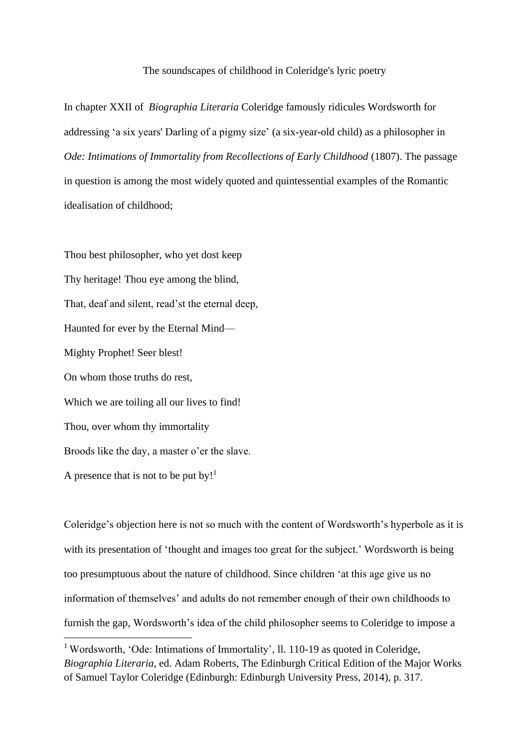## The soundscapes of childhood in Coleridge's lyric poetry

In chapter XXII of *Biographia Literaria* Coleridge famously ridicules Wordsworth for addressing 'a six years' Darling of a pigmy size' (a six-year-old child) as a philosopher in *Ode: Intimations of Immortality from Recollections of Early Childhood (1807). The passage* in question is among the most widely quoted and quintessential examples of the Romantic idealisation of childhood;

Thou best philosopher, who yet dost keep Thy heritage! Thou eye among the blind, That, deaf and silent, read'st the eternal deep, Haunted for ever by the Eternal Mind— Mighty Prophet! Seer blest! On whom those truths do rest, Which we are toiling all our lives to find! Thou, over whom thy immortality Broods like the day, a master o'er the slave. A presence that is not to be put by!<sup>1</sup>

Coleridge's objection here is not so much with the content of Wordsworth's hyperbole as it is with its presentation of 'thought and images too great for the subject.' Wordsworth is being too presumptuous about the nature of childhood. Since children 'at this age give us no information of themselves' and adults do not remember enough of their own childhoods to furnish the gap, Wordsworth's idea of the child philosopher seems to Coleridge to impose a

<sup>&</sup>lt;sup>1</sup> Wordsworth, 'Ode: Intimations of Immortality', ll. 110-19 as quoted in Coleridge, *Biographia Literaria*, ed. Adam Roberts, The Edinburgh Critical Edition of the Major Works of Samuel Taylor Coleridge (Edinburgh: Edinburgh University Press, 2014), p. 317.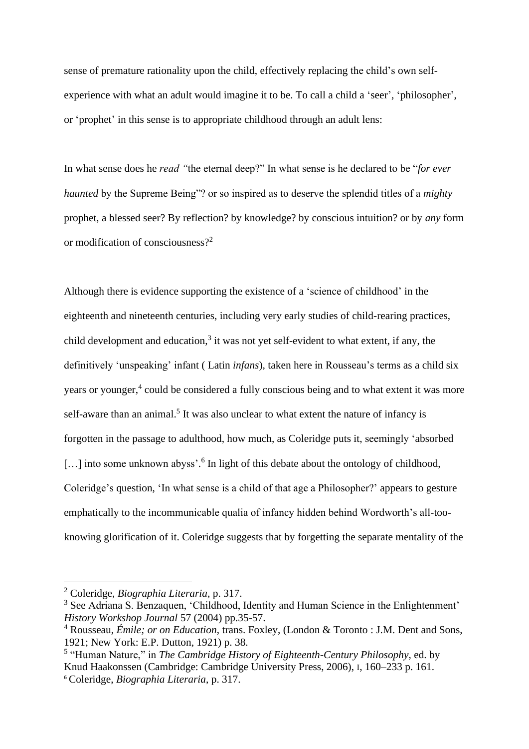sense of premature rationality upon the child, effectively replacing the child's own selfexperience with what an adult would imagine it to be. To call a child a 'seer', 'philosopher', or 'prophet' in this sense is to appropriate childhood through an adult lens:

In what sense does he *read "*the eternal deep?" In what sense is he declared to be "*for ever haunted* by the Supreme Being"? or so inspired as to deserve the splendid titles of a *mighty*  prophet, a blessed seer? By reflection? by knowledge? by conscious intuition? or by *any* form or modification of consciousness?<sup>2</sup>

Although there is evidence supporting the existence of a 'science of childhood' in the eighteenth and nineteenth centuries, including very early studies of child-rearing practices, child development and education, 3 it was not yet self-evident to what extent, if any, the definitively 'unspeaking' infant ( Latin *infans*), taken here in Rousseau's terms as a child six years or younger,<sup>4</sup> could be considered a fully conscious being and to what extent it was more self-aware than an animal.<sup>5</sup> It was also unclear to what extent the nature of infancy is forgotten in the passage to adulthood, how much, as Coleridge puts it, seemingly 'absorbed [...] into some unknown abyss'.<sup>6</sup> In light of this debate about the ontology of childhood, Coleridge's question, 'In what sense is a child of that age a Philosopher?' appears to gesture emphatically to the incommunicable qualia of infancy hidden behind Wordworth's all-tooknowing glorification of it. Coleridge suggests that by forgetting the separate mentality of the

<sup>2</sup> Coleridge, *Biographia Literaria*, p. 317.

<sup>&</sup>lt;sup>3</sup> See Adriana S. Benzaquen, 'Childhood, Identity and Human Science in the Enlightenment' *History Workshop Journal* 57 (2004) pp.35-57.

<sup>4</sup> Rousseau, *Émile; or on Education*, trans. Foxley, (London & Toronto : J.M. Dent and Sons, 1921; New York: E.P. Dutton, 1921) p. 38.

<sup>&</sup>lt;sup>5</sup> "Human Nature," in *The Cambridge History of Eighteenth-Century Philosophy*, ed. by Knud Haakonssen (Cambridge: Cambridge University Press, 2006), I, 160–233 p. 161. <sup>6</sup> Coleridge, *Biographia Literaria*, p. 317.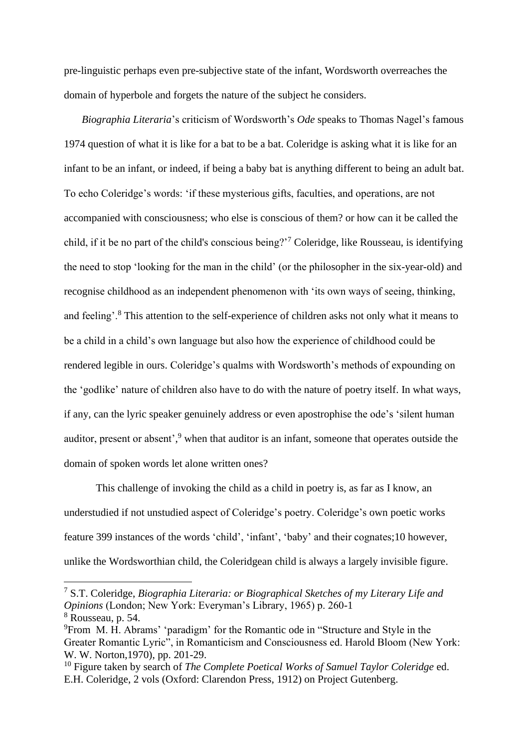pre-linguistic perhaps even pre-subjective state of the infant, Wordsworth overreaches the domain of hyperbole and forgets the nature of the subject he considers.

*Biographia Literaria*'s criticism of Wordsworth's *Ode* speaks to Thomas Nagel's famous 1974 question of what it is like for a bat to be a bat. Coleridge is asking what it is like for an infant to be an infant, or indeed, if being a baby bat is anything different to being an adult bat. To echo Coleridge's words: 'if these mysterious gifts, faculties, and operations, are not accompanied with consciousness; who else is conscious of them? or how can it be called the child, if it be no part of the child's conscious being?'<sup>7</sup> Coleridge, like Rousseau, is identifying the need to stop 'looking for the man in the child' (or the philosopher in the six-year-old) and recognise childhood as an independent phenomenon with 'its own ways of seeing, thinking, and feeling'.<sup>8</sup> This attention to the self-experience of children asks not only what it means to be a child in a child's own language but also how the experience of childhood could be rendered legible in ours. Coleridge's qualms with Wordsworth's methods of expounding on the 'godlike' nature of children also have to do with the nature of poetry itself. In what ways, if any, can the lyric speaker genuinely address or even apostrophise the ode's 'silent human auditor, present or absent', <sup>9</sup> when that auditor is an infant, someone that operates outside the domain of spoken words let alone written ones?

This challenge of invoking the child as a child in poetry is, as far as I know, an understudied if not unstudied aspect of Coleridge's poetry. Coleridge's own poetic works feature 399 instances of the words 'child', 'infant', 'baby' and their cognates;10 however, unlike the Wordsworthian child, the Coleridgean child is always a largely invisible figure.

<sup>7</sup> S.T. Coleridge, *Biographia Literaria: or Biographical Sketches of my Literary Life and Opinions* (London; New York: Everyman's Library, 1965) p. 260-1 <sup>8</sup> Rousseau, p. 54.

<sup>9</sup>From M. H. Abrams' 'paradigm' for the Romantic ode in "Structure and Style in the Greater Romantic Lyric", in Romanticism and Consciousness ed. Harold Bloom (New York: W. W. Norton,1970), pp. 201-29.

<sup>10</sup> Figure taken by search of *The Complete Poetical Works of Samuel Taylor Coleridge* ed. E.H. Coleridge, 2 vols (Oxford: Clarendon Press, 1912) on Project Gutenberg.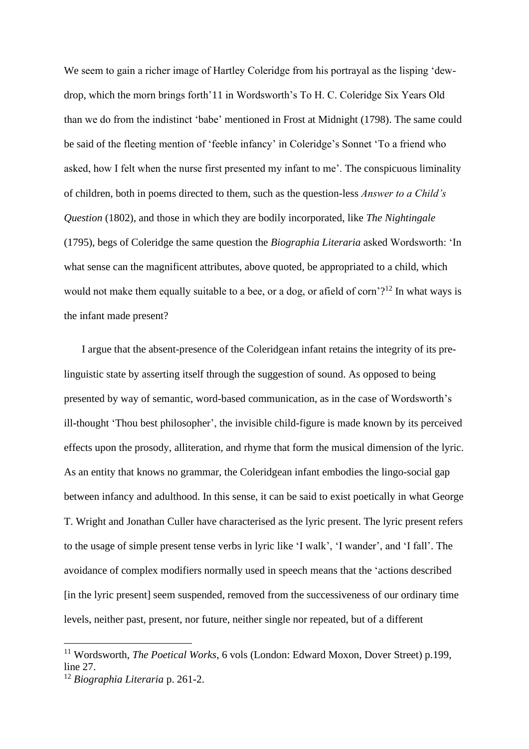We seem to gain a richer image of Hartley Coleridge from his portrayal as the lisping 'dewdrop, which the morn brings forth'11 in Wordsworth's To H. C. Coleridge Six Years Old than we do from the indistinct 'babe' mentioned in Frost at Midnight (1798). The same could be said of the fleeting mention of 'feeble infancy' in Coleridge's Sonnet 'To a friend who asked, how I felt when the nurse first presented my infant to me'. The conspicuous liminality of children, both in poems directed to them, such as the question-less *Answer to a Child's Question* (1802), and those in which they are bodily incorporated, like *The Nightingale*  (1795), begs of Coleridge the same question the *Biographia Literaria* asked Wordsworth: 'In what sense can the magnificent attributes, above quoted, be appropriated to a child, which would not make them equally suitable to a bee, or a dog, or afield of corn'?<sup>12</sup> In what ways is the infant made present?

I argue that the absent-presence of the Coleridgean infant retains the integrity of its prelinguistic state by asserting itself through the suggestion of sound. As opposed to being presented by way of semantic, word-based communication, as in the case of Wordsworth's ill-thought 'Thou best philosopher', the invisible child-figure is made known by its perceived effects upon the prosody, alliteration, and rhyme that form the musical dimension of the lyric. As an entity that knows no grammar, the Coleridgean infant embodies the lingo-social gap between infancy and adulthood. In this sense, it can be said to exist poetically in what George T. Wright and Jonathan Culler have characterised as the lyric present. The lyric present refers to the usage of simple present tense verbs in lyric like 'I walk', 'I wander', and 'I fall'. The avoidance of complex modifiers normally used in speech means that the 'actions described [in the lyric present] seem suspended, removed from the successiveness of our ordinary time levels, neither past, present, nor future, neither single nor repeated, but of a different

<sup>&</sup>lt;sup>11</sup> Wordsworth, *The Poetical Works*, 6 vols (London: Edward Moxon, Dover Street) p.199, line 27.

<sup>12</sup> *Biographia Literaria* p. 261-2.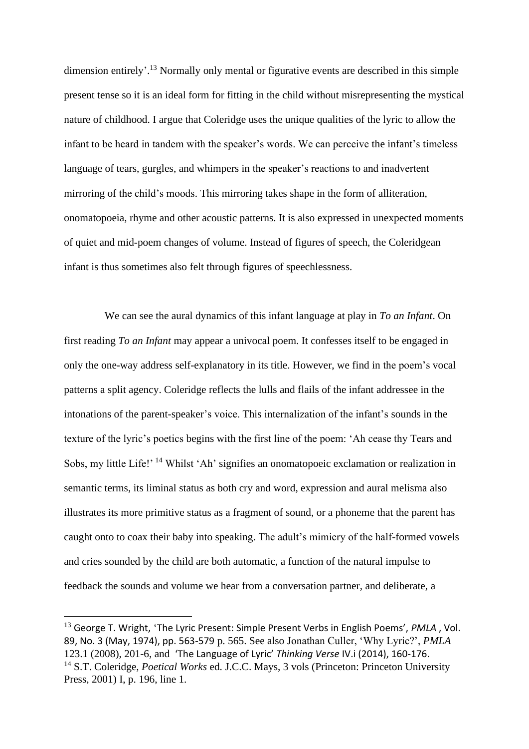dimension entirely'.<sup>13</sup> Normally only mental or figurative events are described in this simple present tense so it is an ideal form for fitting in the child without misrepresenting the mystical nature of childhood. I argue that Coleridge uses the unique qualities of the lyric to allow the infant to be heard in tandem with the speaker's words. We can perceive the infant's timeless language of tears, gurgles, and whimpers in the speaker's reactions to and inadvertent mirroring of the child's moods. This mirroring takes shape in the form of alliteration, onomatopoeia, rhyme and other acoustic patterns. It is also expressed in unexpected moments of quiet and mid-poem changes of volume. Instead of figures of speech, the Coleridgean infant is thus sometimes also felt through figures of speechlessness.

We can see the aural dynamics of this infant language at play in *To an Infant*. On first reading *To an Infant* may appear a univocal poem. It confesses itself to be engaged in only the one-way address self-explanatory in its title. However, we find in the poem's vocal patterns a split agency. Coleridge reflects the lulls and flails of the infant addressee in the intonations of the parent-speaker's voice. This internalization of the infant's sounds in the texture of the lyric's poetics begins with the first line of the poem: 'Ah cease thy Tears and Sobs, my little Life!' <sup>14</sup> Whilst 'Ah' signifies an onomatopoeic exclamation or realization in semantic terms, its liminal status as both cry and word, expression and aural melisma also illustrates its more primitive status as a fragment of sound, or a phoneme that the parent has caught onto to coax their baby into speaking. The adult's mimicry of the half-formed vowels and cries sounded by the child are both automatic, a function of the natural impulse to feedback the sounds and volume we hear from a conversation partner, and deliberate, a

<sup>13</sup> George T. Wright, 'The Lyric Present: Simple Present Verbs in English Poems', *PMLA* , Vol. 89, No. 3 (May, 1974), pp. 563-579 p. 565. See also Jonathan Culler, 'Why Lyric?', *PMLA*  123.1 (2008), 201-6, and 'The Language of Lyric' *Thinking Verse* IV.i (2014), 160-176. <sup>14</sup> S.T. Coleridge, *Poetical Works* ed. J.C.C. Mays, 3 vols (Princeton: Princeton University Press, 2001) I, p. 196, line 1.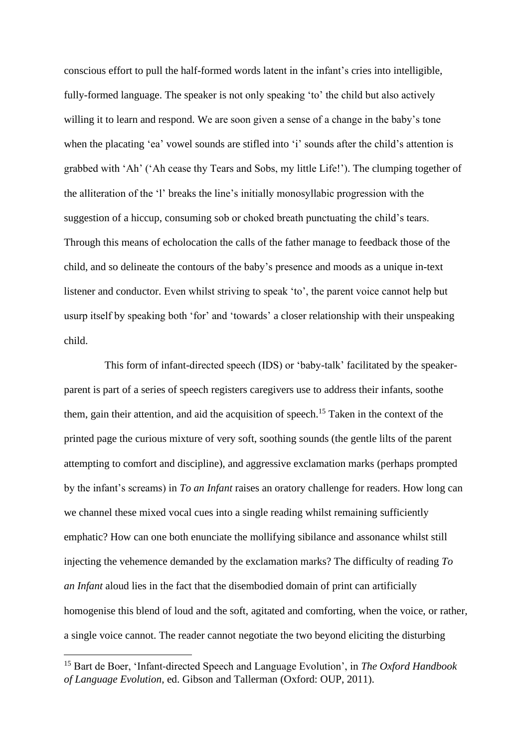conscious effort to pull the half-formed words latent in the infant's cries into intelligible, fully-formed language. The speaker is not only speaking 'to' the child but also actively willing it to learn and respond. We are soon given a sense of a change in the baby's tone when the placating 'ea' vowel sounds are stifled into 'i' sounds after the child's attention is grabbed with 'Ah' ('Ah cease thy Tears and Sobs, my little Life!'). The clumping together of the alliteration of the 'l' breaks the line's initially monosyllabic progression with the suggestion of a hiccup, consuming sob or choked breath punctuating the child's tears. Through this means of echolocation the calls of the father manage to feedback those of the child, and so delineate the contours of the baby's presence and moods as a unique in-text listener and conductor. Even whilst striving to speak 'to', the parent voice cannot help but usurp itself by speaking both 'for' and 'towards' a closer relationship with their unspeaking child.

This form of infant-directed speech (IDS) or 'baby-talk' facilitated by the speakerparent is part of a series of speech registers caregivers use to address their infants, soothe them, gain their attention, and aid the acquisition of speech.<sup>15</sup> Taken in the context of the printed page the curious mixture of very soft, soothing sounds (the gentle lilts of the parent attempting to comfort and discipline), and aggressive exclamation marks (perhaps prompted by the infant's screams) in *To an Infant* raises an oratory challenge for readers. How long can we channel these mixed vocal cues into a single reading whilst remaining sufficiently emphatic? How can one both enunciate the mollifying sibilance and assonance whilst still injecting the vehemence demanded by the exclamation marks? The difficulty of reading *To an Infant* aloud lies in the fact that the disembodied domain of print can artificially homogenise this blend of loud and the soft, agitated and comforting, when the voice, or rather, a single voice cannot. The reader cannot negotiate the two beyond eliciting the disturbing

<sup>15</sup> Bart de Boer, 'Infant‐directed Speech and Language Evolution', in *The Oxford Handbook of Language Evolution*, ed. Gibson and Tallerman (Oxford: OUP, 2011).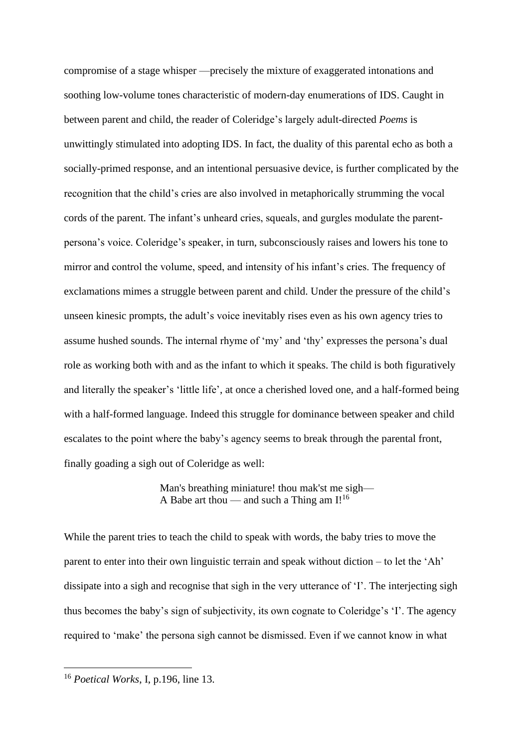compromise of a stage whisper —precisely the mixture of exaggerated intonations and soothing low-volume tones characteristic of modern-day enumerations of IDS. Caught in between parent and child, the reader of Coleridge's largely adult-directed *Poems* is unwittingly stimulated into adopting IDS. In fact, the duality of this parental echo as both a socially-primed response, and an intentional persuasive device, is further complicated by the recognition that the child's cries are also involved in metaphorically strumming the vocal cords of the parent. The infant's unheard cries, squeals, and gurgles modulate the parentpersona's voice. Coleridge's speaker, in turn, subconsciously raises and lowers his tone to mirror and control the volume, speed, and intensity of his infant's cries. The frequency of exclamations mimes a struggle between parent and child. Under the pressure of the child's unseen kinesic prompts, the adult's voice inevitably rises even as his own agency tries to assume hushed sounds. The internal rhyme of 'my' and 'thy' expresses the persona's dual role as working both with and as the infant to which it speaks. The child is both figuratively and literally the speaker's 'little life', at once a cherished loved one, and a half-formed being with a half-formed language. Indeed this struggle for dominance between speaker and child escalates to the point where the baby's agency seems to break through the parental front, finally goading a sigh out of Coleridge as well:

> Man's breathing miniature! thou mak'st me sigh— A Babe art thou — and such a Thing am  $I!^{16}$

While the parent tries to teach the child to speak with words, the baby tries to move the parent to enter into their own linguistic terrain and speak without diction – to let the 'Ah' dissipate into a sigh and recognise that sigh in the very utterance of 'I'. The interjecting sigh thus becomes the baby's sign of subjectivity, its own cognate to Coleridge's 'I'. The agency required to 'make' the persona sigh cannot be dismissed. Even if we cannot know in what

<sup>16</sup> *Poetical Works*, I, p.196, line 13.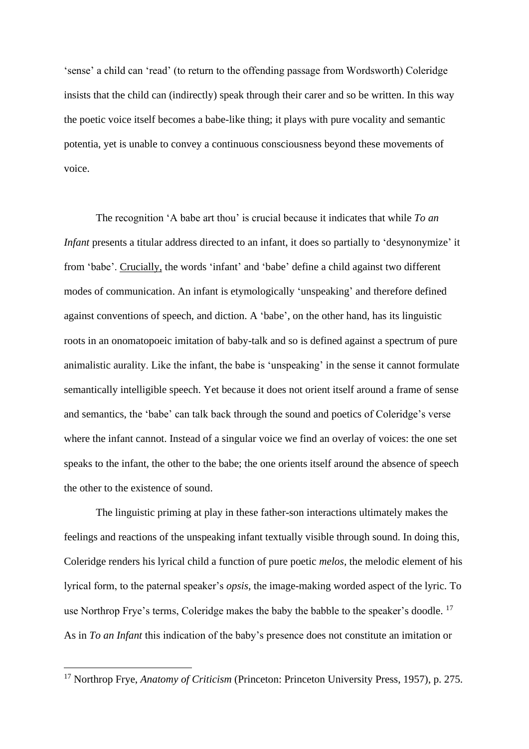'sense' a child can 'read' (to return to the offending passage from Wordsworth) Coleridge insists that the child can (indirectly) speak through their carer and so be written. In this way the poetic voice itself becomes a babe-like thing; it plays with pure vocality and semantic potentia, yet is unable to convey a continuous consciousness beyond these movements of voice.

The recognition 'A babe art thou' is crucial because it indicates that while *To an Infant* presents a titular address directed to an infant, it does so partially to 'desynonymize' it from 'babe'. Crucially, the words 'infant' and 'babe' define a child against two different modes of communication. An infant is etymologically 'unspeaking' and therefore defined against conventions of speech, and diction. A 'babe', on the other hand, has its linguistic roots in an onomatopoeic imitation of baby-talk and so is defined against a spectrum of pure animalistic aurality. Like the infant, the babe is 'unspeaking' in the sense it cannot formulate semantically intelligible speech. Yet because it does not orient itself around a frame of sense and semantics, the 'babe' can talk back through the sound and poetics of Coleridge's verse where the infant cannot. Instead of a singular voice we find an overlay of voices: the one set speaks to the infant, the other to the babe; the one orients itself around the absence of speech the other to the existence of sound.

The linguistic priming at play in these father-son interactions ultimately makes the feelings and reactions of the unspeaking infant textually visible through sound. In doing this, Coleridge renders his lyrical child a function of pure poetic *melos*, the melodic element of his lyrical form, to the paternal speaker's *opsis*, the image-making worded aspect of the lyric. To use Northrop Frye's terms, Coleridge makes the baby the babble to the speaker's doodle.<sup>17</sup> As in *To an Infant* this indication of the baby's presence does not constitute an imitation or

<sup>&</sup>lt;sup>17</sup> Northrop Frye, *Anatomy of Criticism* (Princeton: Princeton University Press, 1957), p. 275.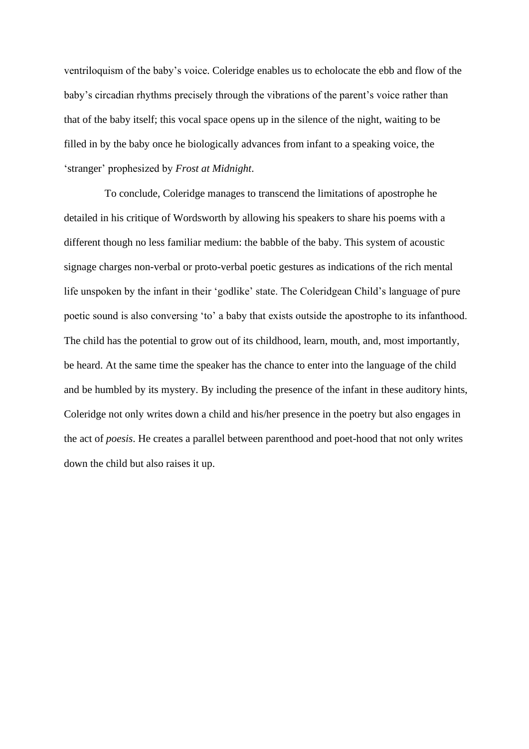ventriloquism of the baby's voice. Coleridge enables us to echolocate the ebb and flow of the baby's circadian rhythms precisely through the vibrations of the parent's voice rather than that of the baby itself; this vocal space opens up in the silence of the night, waiting to be filled in by the baby once he biologically advances from infant to a speaking voice, the 'stranger' prophesized by *Frost at Midnight*.

To conclude, Coleridge manages to transcend the limitations of apostrophe he detailed in his critique of Wordsworth by allowing his speakers to share his poems with a different though no less familiar medium: the babble of the baby. This system of acoustic signage charges non-verbal or proto-verbal poetic gestures as indications of the rich mental life unspoken by the infant in their 'godlike' state. The Coleridgean Child's language of pure poetic sound is also conversing 'to' a baby that exists outside the apostrophe to its infanthood. The child has the potential to grow out of its childhood, learn, mouth, and, most importantly, be heard. At the same time the speaker has the chance to enter into the language of the child and be humbled by its mystery. By including the presence of the infant in these auditory hints, Coleridge not only writes down a child and his/her presence in the poetry but also engages in the act of *poesis*. He creates a parallel between parenthood and poet-hood that not only writes down the child but also raises it up.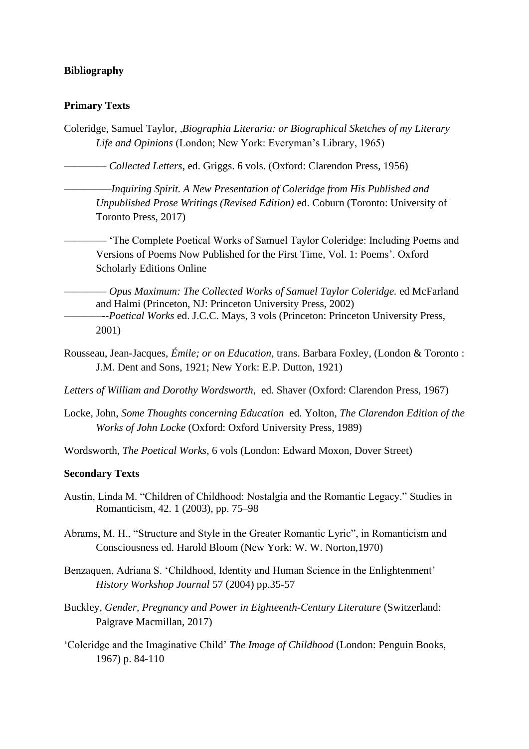## **Bibliography**

## **Primary Texts**

Coleridge, Samuel Taylor, ,*Biographia Literaria: or Biographical Sketches of my Literary Life and Opinions* (London; New York: Everyman's Library, 1965)

———— *Collected Letters*, ed. Griggs. 6 vols. (Oxford: Clarendon Press, 1956)

*—————Inquiring Spirit. A New Presentation of Coleridge from His Published and Unpublished Prose Writings (Revised Edition)* ed. Coburn (Toronto: University of Toronto Press, 2017)

———— 'The Complete Poetical Works of Samuel Taylor Coleridge: Including Poems and Versions of Poems Now Published for the First Time, Vol. 1: Poems'. Oxford Scholarly Editions Online

———— *Opus Maximum: The Collected Works of Samuel Taylor Coleridge.* ed McFarland and Halmi (Princeton, NJ: Princeton University Press, 2002) *————--Poetical Works* ed. J.C.C. Mays, 3 vols (Princeton: Princeton University Press, 2001)

Rousseau, Jean-Jacques, *Émile; or on Education*, trans. Barbara Foxley, (London & Toronto : J.M. Dent and Sons, 1921; New York: E.P. Dutton, 1921)

*Letters of William and Dorothy Wordsworth*, ed. Shaver (Oxford: Clarendon Press, 1967)

Locke, John, *Some Thoughts concerning Education* ed. Yolton, *The Clarendon Edition of the Works of John Locke* (Oxford: Oxford University Press, 1989)

Wordsworth, *The Poetical Works*, 6 vols (London: Edward Moxon, Dover Street)

## **Secondary Texts**

- Austin, Linda M. "Children of Childhood: Nostalgia and the Romantic Legacy." Studies in Romanticism, 42. 1 (2003), pp. 75–98
- Abrams, M. H., "Structure and Style in the Greater Romantic Lyric", in Romanticism and Consciousness ed. Harold Bloom (New York: W. W. Norton,1970)
- Benzaquen, Adriana S. 'Childhood, Identity and Human Science in the Enlightenment' *History Workshop Journal* 57 (2004) pp.35-57
- Buckley, *Gender, Pregnancy and Power in Eighteenth-Century Literature* (Switzerland: Palgrave Macmillan, 2017)
- 'Coleridge and the Imaginative Child' *The Image of Childhood* (London: Penguin Books, 1967) p. 84-110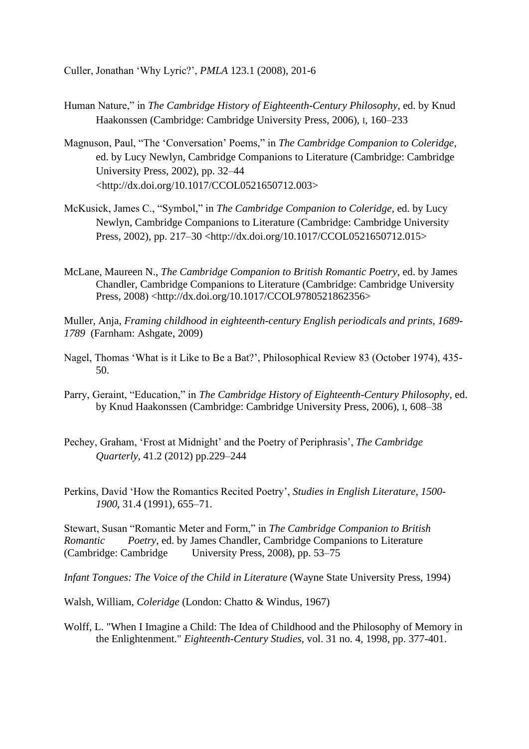Culler, Jonathan 'Why Lyric?', *PMLA* 123.1 (2008), 201-6

- Human Nature," in *The Cambridge History of Eighteenth-Century Philosophy*, ed. by Knud Haakonssen (Cambridge: Cambridge University Press, 2006), I, 160–233
- Magnuson, Paul, "The 'Conversation' Poems," in *The Cambridge Companion to Coleridge*, ed. by Lucy Newlyn, Cambridge Companions to Literature (Cambridge: Cambridge University Press, 2002), pp. 32–44 <http://dx.doi.org/10.1017/CCOL0521650712.003>
- McKusick, James C., "Symbol," in *The Cambridge Companion to Coleridge*, ed. by Lucy Newlyn, Cambridge Companions to Literature (Cambridge: Cambridge University Press, 2002), pp. 217–30 <http://dx.doi.org/10.1017/CCOL0521650712.015>
- McLane, Maureen N., *The Cambridge Companion to British Romantic Poetry*, ed. by James Chandler, Cambridge Companions to Literature (Cambridge: Cambridge University Press, 2008) <http://dx.doi.org/10.1017/CCOL9780521862356>
- Muller, Anja, *Framing childhood in eighteenth-century English periodicals and prints, 1689- 1789* (Farnham: Ashgate, 2009)
- Nagel, Thomas 'What is it Like to Be a Bat?', Philosophical Review 83 (October 1974), 435- 50.
- Parry, Geraint, "Education," in *The Cambridge History of Eighteenth-Century Philosophy*, ed. by Knud Haakonssen (Cambridge: Cambridge University Press, 2006), I, 608–38
- Pechey, Graham, 'Frost at Midnight' and the Poetry of Periphrasis', *The Cambridge Quarterly*, 41.2 (2012) pp.229–244
- Perkins, David 'How the Romantics Recited Poetry', *Studies in English Literature, 1500- 1900*, 31.4 (1991), 655–71.

Stewart, Susan "Romantic Meter and Form," in *The Cambridge Companion to British Romantic Poetry*, ed. by James Chandler, Cambridge Companions to Literature (Cambridge: Cambridge University Press, 2008), pp. 53–75 University Press, 2008), pp.  $53-75$ 

*Infant Tongues: The Voice of the Child in Literature* (Wayne State University Press, 1994)

Walsh, William, *Coleridge* (London: Chatto & Windus, 1967)

Wolff, L. "When I Imagine a Child: The Idea of Childhood and the Philosophy of Memory in the Enlightenment." *Eighteenth-Century Studies*, vol. 31 no. 4, 1998, pp. 377-401.